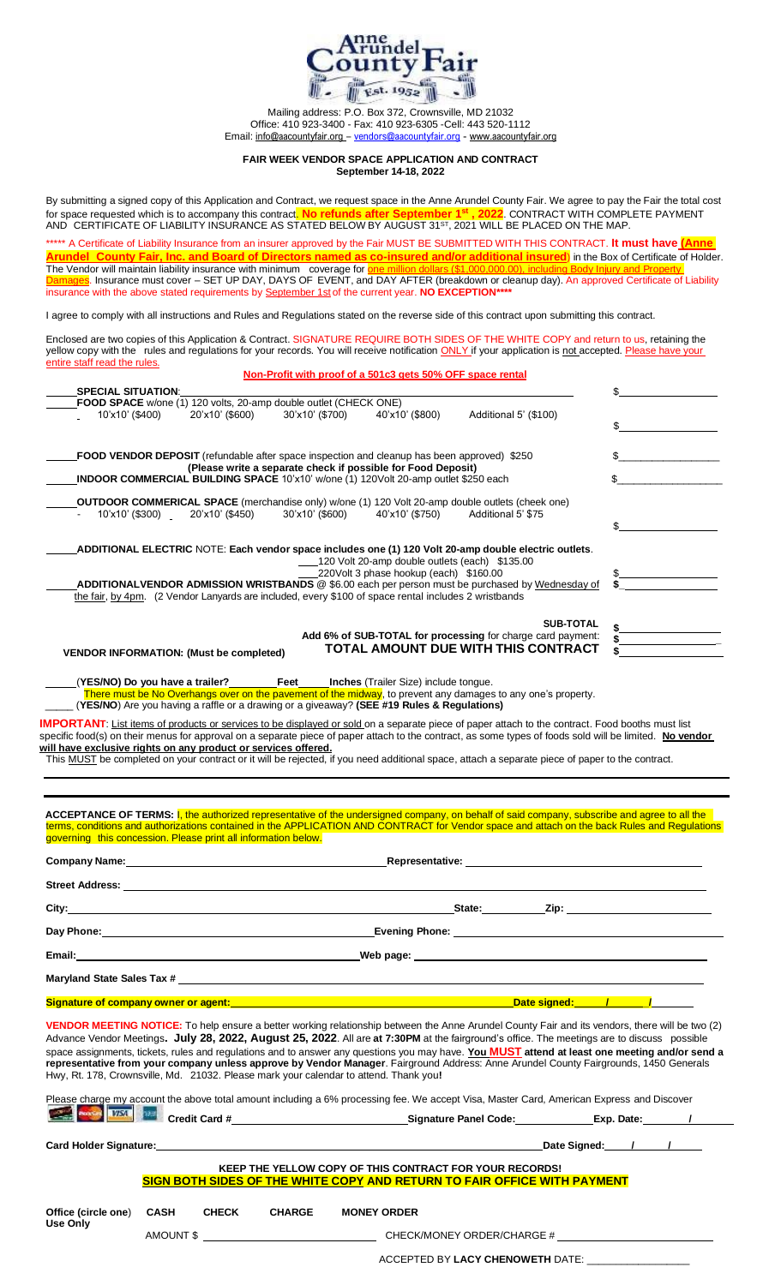

Mailing address: P.O. Box 372, Crownsville, MD 21032 Office: 410 923-3400 - Fax: 410 923-6305 -Cell: 443 520-1112 Email: [info@aacountyfair.org](mailto:info@aacountyfair.org) – [vendors@aacountyfair.org](mailto:vendors@aacountyfair.org) - [www.aacountyfair.org](http://www.aacountyfair.org/)

## **FAIR WEEK VENDOR SPACE APPLICATION AND CONTRACT September 14-18, 2022**

By submitting a signed copy of this Application and Contract, we request space in the Anne Arundel County Fair. We agree to pay the Fair the total cost for space requested which is to accompany this contract. **No refunds after September 1 st 2**. CONTRACT WITH COMPLETE PAYMENT AND  $\,$  CERTIFICATE OF LIABILITY INSURANCE AS STATED BELOW BY AUGUST 31 $^{\rm 5T}$ , 2021 WILL BE PLACED ON THE MAP.

\*\*\*\*\*\* A Certificate of Liability Insurance from an insurer approved by the Fair MUST BE SUBMITTED WITH THIS CONTRACT. It must have *(Ann* **Arundel County Fair, Inc. and Board of Directors named as co-insured and/or additional insured**) in the Box of Certificate of Holder. The Vendor will maintain liability insurance with minimum coverage for **one million dollars (\$1,000,000.00), including Body Injury and Property** Damages. Insurance must cover – SET UP DAY, DAYS OF EVENT, and DAY AFTER (breakdown or cleanup day). An approved Certificate of Liability insurance with the above stated requirements by September 1st of the current year. **NO EXCEPTION\*\*\*\***

I agree to comply with all instructions and Rules and Regulations stated on the reverse side of this contract upon submitting this contract.

Enclosed are two copies of this Application & Contract. SIGNATURE REQUIRE BOTH SIDES OF THE WHITE COPY and return to us, retaining the yellow copy with the rules and regulations for your records. You will receive notification ONLY if your application is not accepted. Please have your entire staff read the rules. **Non-Profit with proof of a 501c3 gets 50% OFF space rental**

| <b>SPECIAL SITUATION:</b><br>FOOD SPACE w/one (1) 120 volts, 20-amp double outlet (CHECK ONE)        |                                 |                 |                                                                                          |                                                                                                                             |  |
|------------------------------------------------------------------------------------------------------|---------------------------------|-----------------|------------------------------------------------------------------------------------------|-----------------------------------------------------------------------------------------------------------------------------|--|
| 10'x10' (\$400)                                                                                      | 20'x10' (\$600)                 | 30'x10' (\$700) | 40'x10' (\$800)                                                                          | Additional 5' (\$100)                                                                                                       |  |
| <b>FOOD VENDOR DEPOSIT</b> (refundable after space inspection and cleanup has been approved) \$250   |                                 |                 | (Please write a separate check if possible for Food Deposit)                             |                                                                                                                             |  |
| <b>INDOOR COMMERCIAL BUILDING SPACE 10'x10' w/one (1) 120Volt 20-amp outlet \$250 each</b>           |                                 |                 |                                                                                          |                                                                                                                             |  |
|                                                                                                      | 10'x10' (\$300) 20'x10' (\$450) |                 | 30'x10' (\$600)    40'x10' (\$750)                                                       | Additional 5' \$75<br>ADDITIONAL ELECTRIC NOTE: Each vendor space includes one (1) 120 Volt 20-amp double electric outlets. |  |
|                                                                                                      |                                 |                 | 120 Volt 20-amp double outlets (each) \$135.00<br>220Volt 3 phase hookup (each) \$160.00 |                                                                                                                             |  |
| the fair, by 4pm. (2 Vendor Lanyards are included, every \$100 of space rental includes 2 wristbands |                                 |                 |                                                                                          | <b>ADDITIONALVENDOR ADMISSION WRISTBANDS</b> @ \$6.00 each per person must be purchased by Wednesday of                     |  |
|                                                                                                      |                                 |                 |                                                                                          | <b>SUB-TOTAL</b>                                                                                                            |  |
|                                                                                                      |                                 |                 |                                                                                          | Add 6% of SUB-TOTAL for processing for charge card payment:                                                                 |  |

(**YES/NO) Do you have a trailer? Feet Inches** (Trailer Size) include tongue.

There must be No Overhangs over on the pavement of the midway, to prevent any damages to any one's property.

\_\_\_\_\_ (**YES/NO**) Are you having a raffle or a drawing or a giveaway? **(SEE #19 Rules & Regulations)**

**IMPORTANT**: List items of products or services to be displayed or sold on a separate piece of paper attach to the contract. Food booths must list specific food(s) on their menus for approval on a separate piece of paper attach to the contract, as some types of foods sold will be limited. **No vendor will have exclusive rights on any product or services offered.**

This MUST be completed on your contract or it will be rejected, if you need additional space, attach a separate piece of paper to the contract.

**ACCEPTANCE OF TERMS:** I, the authorized representative of the undersigned company, on behalf of said company, subscribe and agree to all the terms, conditions and authorizations contained in the APPLICATION AND CONTRACT for Vendor space and attach on the back Rules and Regulations governing this concession. Please print all information below.

| Company Name: Name and Second Company Name and Second Company Name and Second Company of the Company of the Company of the Company of the Company of the Company of the Company of the Company of the Company of the Company o | Representative: Note and the set of the set of the set of the set of the set of the set of the set of the set of the set of the set of the set of the set of the set of the set of the set of the set of the set of the set of |  |  |  |
|--------------------------------------------------------------------------------------------------------------------------------------------------------------------------------------------------------------------------------|--------------------------------------------------------------------------------------------------------------------------------------------------------------------------------------------------------------------------------|--|--|--|
|                                                                                                                                                                                                                                |                                                                                                                                                                                                                                |  |  |  |
|                                                                                                                                                                                                                                | State: Zip: Zip:                                                                                                                                                                                                               |  |  |  |
|                                                                                                                                                                                                                                |                                                                                                                                                                                                                                |  |  |  |
|                                                                                                                                                                                                                                |                                                                                                                                                                                                                                |  |  |  |
|                                                                                                                                                                                                                                |                                                                                                                                                                                                                                |  |  |  |
|                                                                                                                                                                                                                                | Date signed: The Contract of Tennes of Tennes and Tennes and Tennes and Tennes and Tennes and Tennes and Tennes                                                                                                                |  |  |  |
|                                                                                                                                                                                                                                |                                                                                                                                                                                                                                |  |  |  |

**VENDOR MEETING NOTICE:** To help ensure a better working relationship between the Anne Arundel County Fair and its vendors, there will be two (2) Advance Vendor Meetings**. July 28, 2022, August 25, 2022**. All are **at 7:30PM** at the fairground's office. The meetings are to discuss possible space assignments, tickets, rules and regulations and to answer any questions you may have. **You MUST attend at least one meeting and/or send a representative from your company unless approve by Vendor Manager**. Fairground Address: Anne Arundel County Fairgrounds, 1450 Generals Hwy, Rt. 178, Crownsville, Md. 21032. Please mark your calendar to attend. Thank you**!**

|                                  |           |              |                                         |                                                                          | Please charge my account the above total amount including a 6% processing fee. We accept Visa, Master Card, American Express and Discover |  |  |  |
|----------------------------------|-----------|--------------|-----------------------------------------|--------------------------------------------------------------------------|-------------------------------------------------------------------------------------------------------------------------------------------|--|--|--|
| <b>Charles Books &amp; VISTE</b> |           |              | Credit Card #__________________________ |                                                                          | Exp. Date: /                                                                                                                              |  |  |  |
|                                  |           |              |                                         |                                                                          | Date Signed: / /                                                                                                                          |  |  |  |
|                                  |           |              |                                         | KEEP THE YELLOW COPY OF THIS CONTRACT FOR YOUR RECORDS!                  |                                                                                                                                           |  |  |  |
|                                  |           |              |                                         | SIGN BOTH SIDES OF THE WHITE COPY AND RETURN TO FAIR OFFICE WITH PAYMENT |                                                                                                                                           |  |  |  |
| Office (circle one)<br>Use Only  | CASH      | <b>CHECK</b> | <b>CHARGE</b>                           | <b>MONEY ORDER</b>                                                       |                                                                                                                                           |  |  |  |
|                                  | AMOUNT \$ |              |                                         | CHECK/MONEY ORDER/CHARGE #                                               |                                                                                                                                           |  |  |  |

| ACCEPTED BY LACY CHENOWETH DATE: |  |
|----------------------------------|--|
|----------------------------------|--|